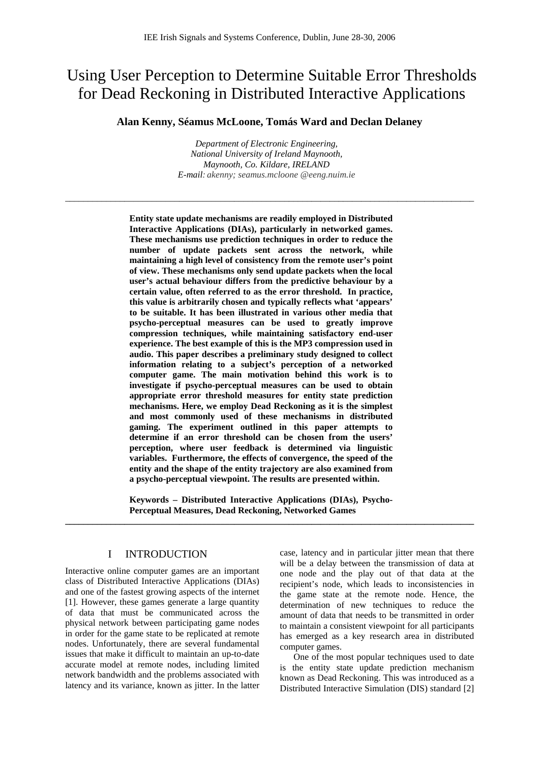# Using User Perception to Determine Suitable Error Thresholds for Dead Reckoning in Distributed Interactive Applications

**Alan Kenny, Séamus McLoone, Tomás Ward and Declan Delaney** 

*Department of Electronic Engineering, National University of Ireland Maynooth, Maynooth, Co. Kildare, IRELAND E-mail: akenny; seamus.mcloone @eeng.nuim.ie*

\_\_\_\_\_\_\_\_\_\_\_\_\_\_\_\_\_\_\_\_\_\_\_\_\_\_\_\_\_\_\_\_\_\_\_\_\_\_\_\_\_\_\_\_\_\_\_\_\_\_\_\_\_\_\_\_\_\_\_\_\_\_\_\_\_\_\_\_\_\_\_\_\_\_\_\_\_\_\_\_\_\_\_\_\_\_\_\_\_\_

**Entity state update mechanisms are readily employed in Distributed Interactive Applications (DIAs), particularly in networked games. These mechanisms use prediction techniques in order to reduce the number of update packets sent across the network, while maintaining a high level of consistency from the remote user's point of view. These mechanisms only send update packets when the local user's actual behaviour differs from the predictive behaviour by a certain value, often referred to as the error threshold. In practice, this value is arbitrarily chosen and typically reflects what 'appears' to be suitable. It has been illustrated in various other media that psycho-perceptual measures can be used to greatly improve compression techniques, while maintaining satisfactory end-user experience. The best example of this is the MP3 compression used in audio. This paper describes a preliminary study designed to collect information relating to a subject's perception of a networked computer game. The main motivation behind this work is to investigate if psycho-perceptual measures can be used to obtain appropriate error threshold measures for entity state prediction mechanisms. Here, we employ Dead Reckoning as it is the simplest and most commonly used of these mechanisms in distributed gaming. The experiment outlined in this paper attempts to determine if an error threshold can be chosen from the users' perception, where user feedback is determined via linguistic variables. Furthermore, the effects of convergence, the speed of the entity and the shape of the entity trajectory are also examined from a psycho-perceptual viewpoint. The results are presented within.** 

**Keywords – Distributed Interactive Applications (DIAs), Psycho-Perceptual Measures, Dead Reckoning, Networked Games** 

**\_\_\_\_\_\_\_\_\_\_\_\_\_\_\_\_\_\_\_\_\_\_\_\_\_\_\_\_\_\_\_\_\_\_\_\_\_\_\_\_\_\_\_\_\_\_\_\_\_\_\_\_\_\_\_\_\_\_\_\_\_\_\_\_\_\_\_\_\_\_\_\_\_\_\_\_\_\_\_\_\_\_\_\_\_\_\_\_\_\_**

# I INTRODUCTION

Interactive online computer games are an important class of Distributed Interactive Applications (DIAs) and one of the fastest growing aspects of the internet [1]. However, these games generate a large quantity of data that must be communicated across the physical network between participating game nodes in order for the game state to be replicated at remote nodes. Unfortunately, there are several fundamental issues that make it difficult to maintain an up-to-date accurate model at remote nodes, including limited network bandwidth and the problems associated with latency and its variance, known as jitter. In the latter

case, latency and in particular jitter mean that there will be a delay between the transmission of data at one node and the play out of that data at the recipient's node, which leads to inconsistencies in the game state at the remote node. Hence, the determination of new techniques to reduce the amount of data that needs to be transmitted in order to maintain a consistent viewpoint for all participants has emerged as a key research area in distributed computer games.

 One of the most popular techniques used to date is the entity state update prediction mechanism known as Dead Reckoning. This was introduced as a Distributed Interactive Simulation (DIS) standard [2]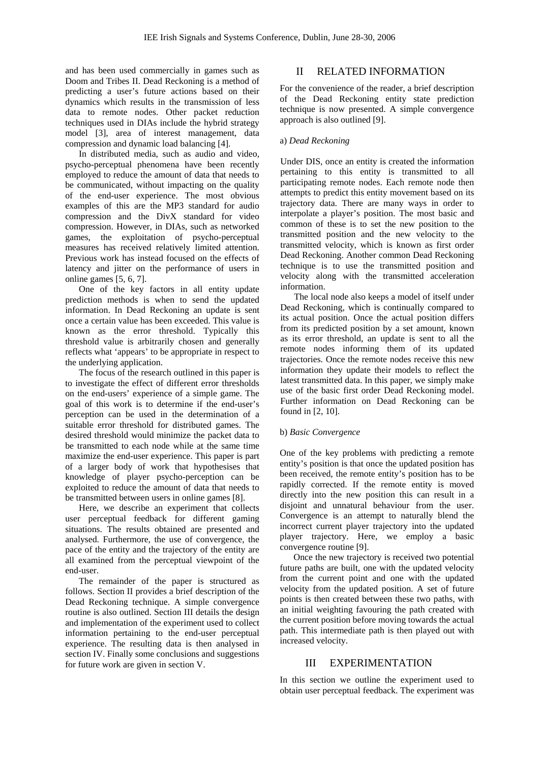and has been used commercially in games such as Doom and Tribes II. Dead Reckoning is a method of predicting a user's future actions based on their dynamics which results in the transmission of less data to remote nodes. Other packet reduction techniques used in DIAs include the hybrid strategy model [3], area of interest management, data compression and dynamic load balancing [4].

 In distributed media, such as audio and video, psycho-perceptual phenomena have been recently employed to reduce the amount of data that needs to be communicated, without impacting on the quality of the end-user experience. The most obvious examples of this are the MP3 standard for audio compression and the DivX standard for video compression. However, in DIAs, such as networked games, the exploitation of psycho-perceptual measures has received relatively limited attention. Previous work has instead focused on the effects of latency and jitter on the performance of users in online games [5, 6, 7].

 One of the key factors in all entity update prediction methods is when to send the updated information. In Dead Reckoning an update is sent once a certain value has been exceeded. This value is known as the error threshold. Typically this threshold value is arbitrarily chosen and generally reflects what 'appears' to be appropriate in respect to the underlying application.

 The focus of the research outlined in this paper is to investigate the effect of different error thresholds on the end-users' experience of a simple game. The goal of this work is to determine if the end-user's perception can be used in the determination of a suitable error threshold for distributed games. The desired threshold would minimize the packet data to be transmitted to each node while at the same time maximize the end-user experience. This paper is part of a larger body of work that hypothesises that knowledge of player psycho-perception can be exploited to reduce the amount of data that needs to be transmitted between users in online games [8].

 Here, we describe an experiment that collects user perceptual feedback for different gaming situations. The results obtained are presented and analysed. Furthermore, the use of convergence, the pace of the entity and the trajectory of the entity are all examined from the perceptual viewpoint of the end-user.

 The remainder of the paper is structured as follows. Section II provides a brief description of the Dead Reckoning technique. A simple convergence routine is also outlined. Section III details the design and implementation of the experiment used to collect information pertaining to the end-user perceptual experience. The resulting data is then analysed in section IV. Finally some conclusions and suggestions for future work are given in section V.

# II RELATED INFORMATION

For the convenience of the reader, a brief description of the Dead Reckoning entity state prediction technique is now presented. A simple convergence approach is also outlined [9].

### a) *Dead Reckoning*

Under DIS, once an entity is created the information pertaining to this entity is transmitted to all participating remote nodes. Each remote node then attempts to predict this entity movement based on its trajectory data. There are many ways in order to interpolate a player's position. The most basic and common of these is to set the new position to the transmitted position and the new velocity to the transmitted velocity, which is known as first order Dead Reckoning. Another common Dead Reckoning technique is to use the transmitted position and velocity along with the transmitted acceleration information.

 The local node also keeps a model of itself under Dead Reckoning, which is continually compared to its actual position. Once the actual position differs from its predicted position by a set amount, known as its error threshold, an update is sent to all the remote nodes informing them of its updated trajectories. Once the remote nodes receive this new information they update their models to reflect the latest transmitted data. In this paper, we simply make use of the basic first order Dead Reckoning model. Further information on Dead Reckoning can be found in [2, 10].

### b) *Basic Convergence*

One of the key problems with predicting a remote entity's position is that once the updated position has been received, the remote entity's position has to be rapidly corrected. If the remote entity is moved directly into the new position this can result in a disjoint and unnatural behaviour from the user. Convergence is an attempt to naturally blend the incorrect current player trajectory into the updated player trajectory. Here, we employ a basic convergence routine [9].

 Once the new trajectory is received two potential future paths are built, one with the updated velocity from the current point and one with the updated velocity from the updated position. A set of future points is then created between these two paths, with an initial weighting favouring the path created with the current position before moving towards the actual path. This intermediate path is then played out with increased velocity.

# III EXPERIMENTATION

In this section we outline the experiment used to obtain user perceptual feedback. The experiment was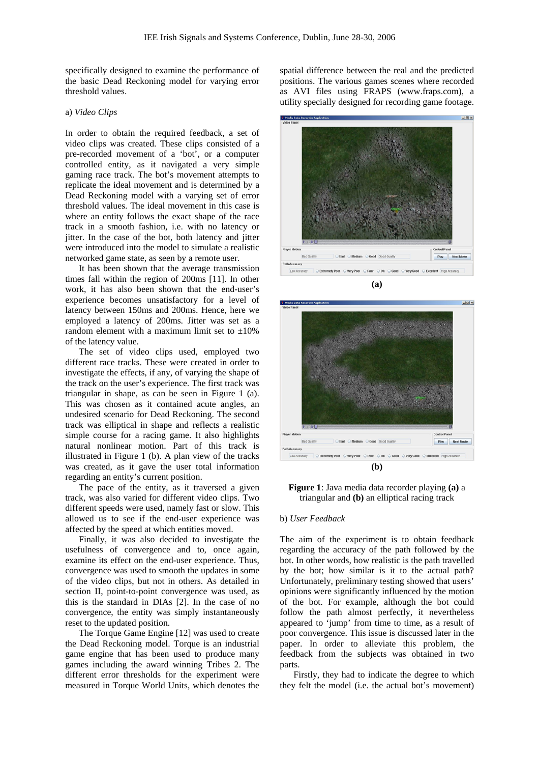specifically designed to examine the performance of the basic Dead Reckoning model for varying error threshold values.

#### a) *Video Clips*

In order to obtain the required feedback, a set of video clips was created. These clips consisted of a pre-recorded movement of a 'bot', or a computer controlled entity, as it navigated a very simple gaming race track. The bot's movement attempts to replicate the ideal movement and is determined by a Dead Reckoning model with a varying set of error threshold values. The ideal movement in this case is where an entity follows the exact shape of the race track in a smooth fashion, i.e. with no latency or jitter. In the case of the bot, both latency and jitter were introduced into the model to simulate a realistic networked game state, as seen by a remote user.

 It has been shown that the average transmission times fall within the region of 200ms [11]. In other work, it has also been shown that the end-user's experience becomes unsatisfactory for a level of latency between 150ms and 200ms. Hence, here we employed a latency of 200ms. Jitter was set as a random element with a maximum limit set to  $\pm 10\%$ of the latency value.

The set of video clips used, employed two different race tracks. These were created in order to investigate the effects, if any, of varying the shape of the track on the user's experience. The first track was triangular in shape, as can be seen in Figure 1 (a). This was chosen as it contained acute angles, an undesired scenario for Dead Reckoning. The second track was elliptical in shape and reflects a realistic simple course for a racing game. It also highlights natural nonlinear motion. Part of this track is illustrated in Figure 1 (b). A plan view of the tracks was created, as it gave the user total information regarding an entity's current position.

 The pace of the entity, as it traversed a given track, was also varied for different video clips. Two different speeds were used, namely fast or slow. This allowed us to see if the end-user experience was affected by the speed at which entities moved.

 Finally, it was also decided to investigate the usefulness of convergence and to, once again, examine its effect on the end-user experience. Thus, convergence was used to smooth the updates in some of the video clips, but not in others. As detailed in section II, point-to-point convergence was used, as this is the standard in DIAs [2]. In the case of no convergence, the entity was simply instantaneously reset to the updated position.

The Torque Game Engine [12] was used to create the Dead Reckoning model. Torque is an industrial game engine that has been used to produce many games including the award winning Tribes 2. The different error thresholds for the experiment were measured in Torque World Units, which denotes the spatial difference between the real and the predicted positions. The various games scenes where recorded as AVI files using FRAPS (www.fraps.com), a utility specially designed for recording game footage.



**(a)**



**Figure 1**: Java media data recorder playing **(a)** a triangular and **(b)** an elliptical racing track

#### b) *User Feedback*

The aim of the experiment is to obtain feedback regarding the accuracy of the path followed by the bot. In other words, how realistic is the path travelled by the bot; how similar is it to the actual path? Unfortunately, preliminary testing showed that users' opinions were significantly influenced by the motion of the bot. For example, although the bot could follow the path almost perfectly, it nevertheless appeared to 'jump' from time to time, as a result of poor convergence. This issue is discussed later in the paper. In order to alleviate this problem, the feedback from the subjects was obtained in two parts.

 Firstly, they had to indicate the degree to which they felt the model (i.e. the actual bot's movement)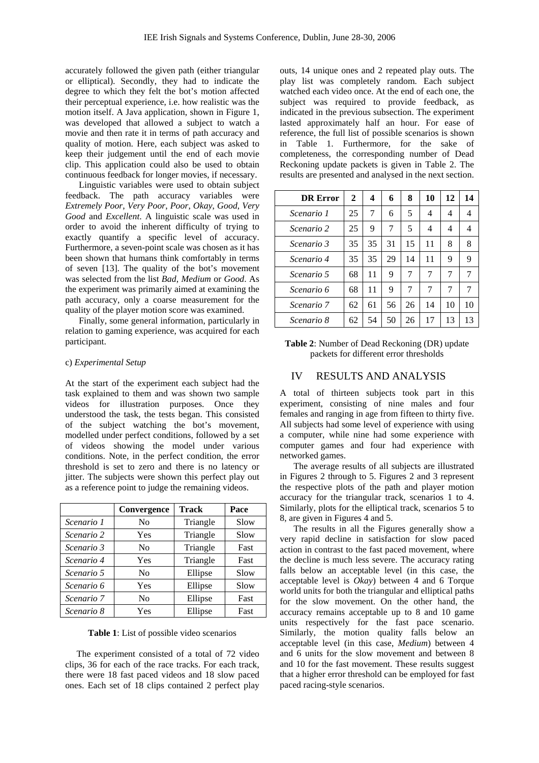accurately followed the given path (either triangular or elliptical). Secondly, they had to indicate the degree to which they felt the bot's motion affected their perceptual experience, i.e. how realistic was the motion itself. A Java application, shown in Figure 1, was developed that allowed a subject to watch a movie and then rate it in terms of path accuracy and quality of motion. Here, each subject was asked to keep their judgement until the end of each movie clip. This application could also be used to obtain continuous feedback for longer movies, if necessary.

 Linguistic variables were used to obtain subject feedback. The path accuracy variables were *Extremely Poor*, *Very Poor*, *Poor*, *Okay*, *Good*, *Very Good* and *Excellent*. A linguistic scale was used in order to avoid the inherent difficulty of trying to exactly quantify a specific level of accuracy. Furthermore, a seven-point scale was chosen as it has been shown that humans think comfortably in terms of seven [13]. The quality of the bot's movement was selected from the list *Bad*, *Medium* or *Good*. As the experiment was primarily aimed at examining the path accuracy, only a coarse measurement for the quality of the player motion score was examined.

 Finally, some general information, particularly in relation to gaming experience, was acquired for each participant.

### c) *Experimental Setup*

At the start of the experiment each subject had the task explained to them and was shown two sample videos for illustration purposes. Once they understood the task, the tests began. This consisted of the subject watching the bot's movement, modelled under perfect conditions, followed by a set of videos showing the model under various conditions. Note, in the perfect condition, the error threshold is set to zero and there is no latency or jitter. The subjects were shown this perfect play out as a reference point to judge the remaining videos.

|            | Convergence    | <b>Track</b> | Pace |  |
|------------|----------------|--------------|------|--|
| Scenario 1 | N <sub>0</sub> | Triangle     | Slow |  |
| Scenario 2 | Yes            | Triangle     | Slow |  |
| Scenario 3 | N <sub>0</sub> | Triangle     | Fast |  |
| Scenario 4 | Yes            | Triangle     | Fast |  |
| Scenario 5 | N <sub>0</sub> | Ellipse      | Slow |  |
| Scenario 6 | Yes            | Ellipse      | Slow |  |
| Scenario 7 | N <sub>0</sub> | Ellipse      | Fast |  |
| Scenario 8 | Yes            | Ellipse      | Fast |  |

**Table 1**: List of possible video scenarios

 The experiment consisted of a total of 72 video clips, 36 for each of the race tracks. For each track, there were 18 fast paced videos and 18 slow paced ones. Each set of 18 clips contained 2 perfect play

outs, 14 unique ones and 2 repeated play outs. The play list was completely random. Each subject watched each video once. At the end of each one, the subject was required to provide feedback, as indicated in the previous subsection. The experiment lasted approximately half an hour. For ease of reference, the full list of possible scenarios is shown in Table 1. Furthermore, for the sake of completeness, the corresponding number of Dead Reckoning update packets is given in Table 2. The results are presented and analysed in the next section.

| <b>DR</b> Error | 2  | 4  | 6  | 8  | 10 | 12 | 14 |
|-----------------|----|----|----|----|----|----|----|
| Scenario 1      | 25 | 7  | 6  | 5  | 4  | 4  | 4  |
| Scenario 2      | 25 | 9  | 7  | 5  | 4  | 4  | 4  |
| Scenario 3      | 35 | 35 | 31 | 15 | 11 | 8  | 8  |
| Scenario 4      | 35 | 35 | 29 | 14 | 11 | 9  | 9  |
| Scenario 5      | 68 | 11 | 9  | 7  | 7  | 7  | 7  |
| Scenario 6      | 68 | 11 | 9  | 7  | 7  | 7  | 7  |
| Scenario 7      | 62 | 61 | 56 | 26 | 14 | 10 | 10 |
| Scenario 8      | 62 | 54 | 50 | 26 | 17 | 13 | 13 |

**Table 2**: Number of Dead Reckoning (DR) update packets for different error thresholds

# IV RESULTS AND ANALYSIS

A total of thirteen subjects took part in this experiment, consisting of nine males and four females and ranging in age from fifteen to thirty five. All subjects had some level of experience with using a computer, while nine had some experience with computer games and four had experience with networked games.

 The average results of all subjects are illustrated in Figures 2 through to 5. Figures 2 and 3 represent the respective plots of the path and player motion accuracy for the triangular track, scenarios 1 to 4. Similarly, plots for the elliptical track, scenarios 5 to 8, are given in Figures 4 and 5.

 The results in all the Figures generally show a very rapid decline in satisfaction for slow paced action in contrast to the fast paced movement, where the decline is much less severe. The accuracy rating falls below an acceptable level (in this case, the acceptable level is *Okay*) between 4 and 6 Torque world units for both the triangular and elliptical paths for the slow movement. On the other hand, the accuracy remains acceptable up to 8 and 10 game units respectively for the fast pace scenario. Similarly, the motion quality falls below an acceptable level (in this case, *Medium*) between 4 and 6 units for the slow movement and between 8 and 10 for the fast movement. These results suggest that a higher error threshold can be employed for fast paced racing-style scenarios.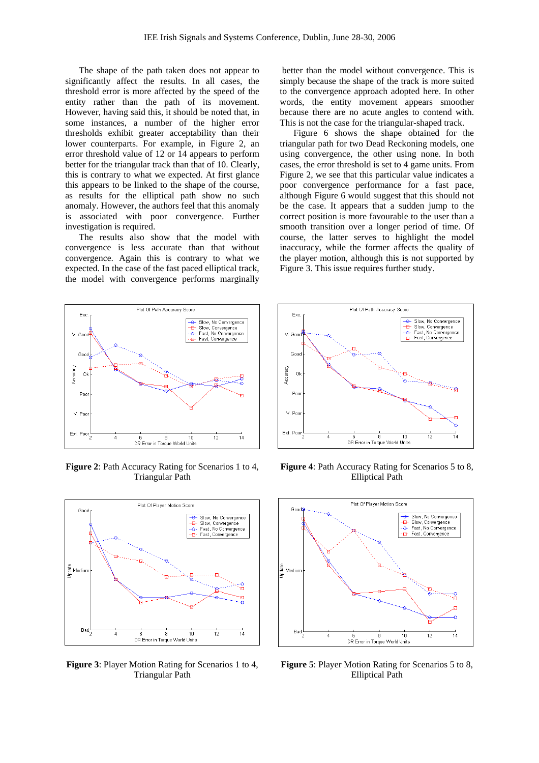The shape of the path taken does not appear to significantly affect the results. In all cases, the threshold error is more affected by the speed of the entity rather than the path of its movement. However, having said this, it should be noted that, in some instances, a number of the higher error thresholds exhibit greater acceptability than their lower counterparts. For example, in Figure 2, an error threshold value of 12 or 14 appears to perform better for the triangular track than that of 10. Clearly, this is contrary to what we expected. At first glance this appears to be linked to the shape of the course, as results for the elliptical path show no such anomaly. However, the authors feel that this anomaly is associated with poor convergence. Further investigation is required.

 The results also show that the model with convergence is less accurate than that without convergence. Again this is contrary to what we expected. In the case of the fast paced elliptical track, the model with convergence performs marginally

better than the model without convergence. This is simply because the shape of the track is more suited to the convergence approach adopted here. In other words, the entity movement appears smoother because there are no acute angles to contend with. This is not the case for the triangular-shaped track.

Figure 6 shows the shape obtained for the triangular path for two Dead Reckoning models, one using convergence, the other using none. In both cases, the error threshold is set to 4 game units. From Figure 2, we see that this particular value indicates a poor convergence performance for a fast pace, although Figure 6 would suggest that this should not be the case. It appears that a sudden jump to the correct position is more favourable to the user than a smooth transition over a longer period of time. Of course, the latter serves to highlight the model inaccuracy, while the former affects the quality of the player motion, although this is not supported by Figure 3. This issue requires further study.



**Figure 2**: Path Accuracy Rating for Scenarios 1 to 4, Triangular Path



**Figure 3**: Player Motion Rating for Scenarios 1 to 4, Triangular Path



**Figure 4**: Path Accuracy Rating for Scenarios 5 to 8, Elliptical Path



**Figure 5**: Player Motion Rating for Scenarios 5 to 8, Elliptical Path